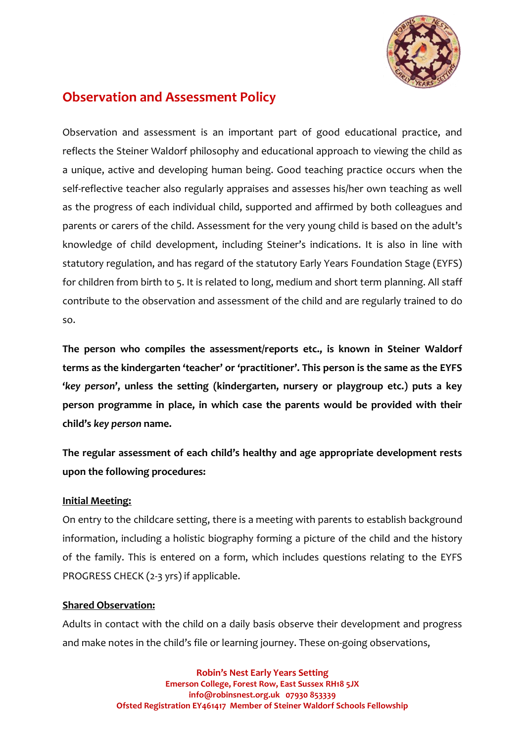

# **Observation and Assessment Policy**

Observation and assessment is an important part of good educational practice, and reflects the Steiner Waldorf philosophy and educational approach to viewing the child as a unique, active and developing human being. Good teaching practice occurs when the self-reflective teacher also regularly appraises and assesses his/her own teaching as well as the progress of each individual child, supported and affirmed by both colleagues and parents or carers of the child. Assessment for the very young child is based on the adult's knowledge of child development, including Steiner's indications. It is also in line with statutory regulation, and has regard of the statutory Early Years Foundation Stage (EYFS) for children from birth to 5. It is related to long, medium and short term planning. All staff contribute to the observation and assessment of the child and are regularly trained to do so.

**The person who compiles the assessment/reports etc., is known in Steiner Waldorf terms as the kindergarten 'teacher' or 'practitioner'. This person is the same as the EYFS '***key person***', unless the setting (kindergarten, nursery or playgroup etc.) puts a key person programme in place, in which case the parents would be provided with their child's** *key person* **name.**

**The regular assessment of each child's healthy and age appropriate development rests upon the following procedures:**

## **Initial Meeting:**

On entry to the childcare setting, there is a meeting with parents to establish background information, including a holistic biography forming a picture of the child and the history of the family. This is entered on a form, which includes questions relating to the EYFS PROGRESS CHECK (2-3 yrs) if applicable.

#### **Shared Observation:**

Adults in contact with the child on a daily basis observe their development and progress and make notes in the child's file or learning journey. These on-going observations,

> **Robin's Nest Early Years Setting Emerson College, Forest Row, East Sussex RH18 5JX info@robinsnest.org.uk 07930 853339 Ofsted Registration EY461417 Member of Steiner Waldorf Schools Fellowship**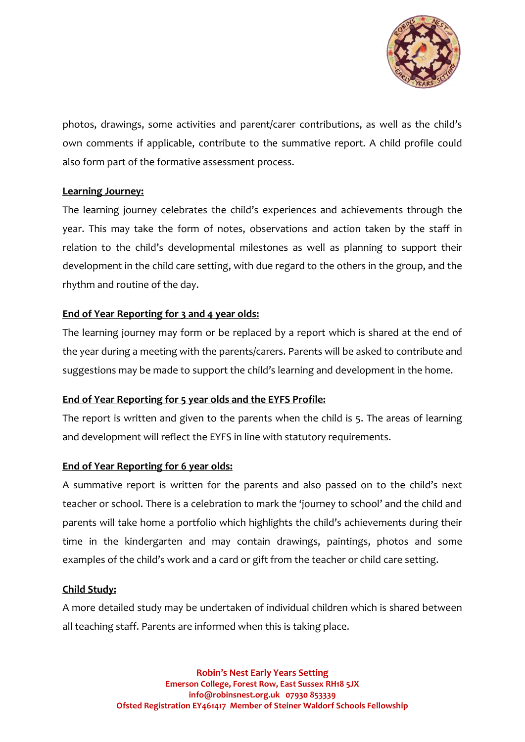

photos, drawings, some activities and parent/carer contributions, as well as the child's own comments if applicable, contribute to the summative report. A child profile could also form part of the formative assessment process.

## **Learning Journey:**

The learning journey celebrates the child's experiences and achievements through the year. This may take the form of notes, observations and action taken by the staff in relation to the child's developmental milestones as well as planning to support their development in the child care setting, with due regard to the others in the group, and the rhythm and routine of the day.

## **End of Year Reporting for 3 and 4 year olds:**

The learning journey may form or be replaced by a report which is shared at the end of the year during a meeting with the parents/carers. Parents will be asked to contribute and suggestions may be made to support the child's learning and development in the home.

#### **End of Year Reporting for 5 year olds and the EYFS Profile:**

The report is written and given to the parents when the child is 5. The areas of learning and development will reflect the EYFS in line with statutory requirements.

## **End of Year Reporting for 6 year olds:**

A summative report is written for the parents and also passed on to the child's next teacher or school. There is a celebration to mark the 'journey to school' and the child and parents will take home a portfolio which highlights the child's achievements during their time in the kindergarten and may contain drawings, paintings, photos and some examples of the child's work and a card or gift from the teacher or child care setting.

#### **Child Study:**

A more detailed study may be undertaken of individual children which is shared between all teaching staff. Parents are informed when this is taking place.

> **Robin's Nest Early Years Setting Emerson College, Forest Row, East Sussex RH18 5JX info@robinsnest.org.uk 07930 853339 Ofsted Registration EY461417 Member of Steiner Waldorf Schools Fellowship**